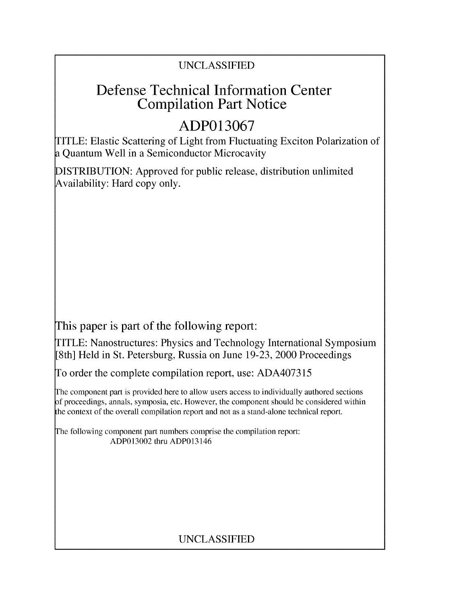## UNCLASSIFIED

## Defense Technical Information Center Compilation Part Notice

# **ADP013067**

TITLE: Elastic Scattering of Light from Fluctuating Exciton Polarization of a Quantum Well in a Semiconductor Microcavity

DISTRIBUTION: Approved for public release, distribution unlimited Availability: Hard copy only.

This paper is part of the following report:

TITLE: Nanostructures: Physics and Technology International Symposium [8th] Held in St. Petersburg, Russia on June 19-23, 2000 Proceedings

To order the complete compilation report, use: ADA407315

The component part is provided here to allow users access to individually authored sections f proceedings, annals, symposia, etc. However, the component should be considered within the context of the overall compilation report and not as a stand-alone technical report.

The following component part numbers comprise the compilation report: ADP013002 thru ADP013146

## UNCLASSIFIED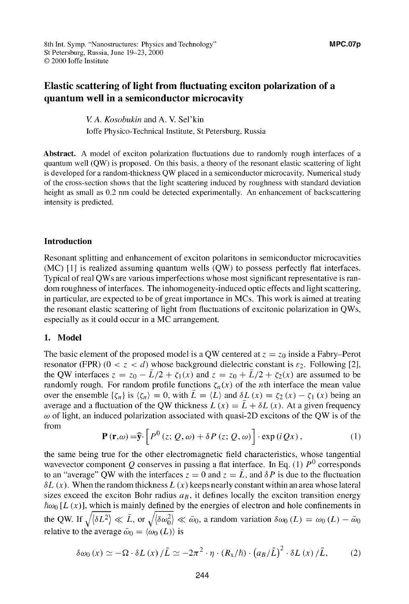### Elastic scattering of light from fluctuating exciton polarization of a quantum well in a semiconductor microcavity

V A. *Kosobukin* and A. V. Sel'kin Joffe Physico-Technical Institute, St Petersburg, Russia

Abstract. **A** model of exciton polarization fluctuations due to randomly rough interfaces of a quantum well **(QW)** is proposed. On this basis, a theory of the resonant elastic scattering of light is developed for a random-thickness QW placed in a semiconductor microcavity. Numerical study of the cross-section shows that the light scattering induced by roughness with standard deviation height as small as 0.2 nm could be detected experimentally. An enhancement of backscattering

intensity is predicted.

#### Introduction

Resonant splitting and enhancement of exciton polaritons in semiconductor microcavities (MC) **[II** is realized assuming quantum wells (QW) to possess perfectly flat interfaces. Typical of real QWs are various imperfections whose most significant representative is random roughness of interfaces. The inhomogeneity-induced optic effects and light scattering, in particular, are expected to be of great importance in MCs. This work is aimed at treating the resonant elastic scattering of light from fluctuations of excitonic polarization in QWs, especially as it could occur in a MC arrangement.

#### 1. Model

The basic element of the proposed model is a QW centered at  $z = z_0$  inside a Fabry–Perot resonator (FPR)  $(0 < z < d)$  whose background dielectric constant is  $\varepsilon_2$ . Following [2], the QW interfaces  $z = z_0 - \bar{L}/2 + \zeta_1(x)$  and  $z = z_0 + \bar{L}/2 + \zeta_2(x)$  are assumed to be randomly rough. For random profile functions  $\zeta_n(x)$  of the *n*th interface the mean value over the ensemble  $\{\zeta_n\}$  is  $\langle \zeta_n \rangle = 0$ , with  $\bar{L} = \langle L \rangle$  and  $\delta L(x) = \zeta_2(x) - \zeta_1(x)$  being an average and a fluctuation of the QW thickness  $L(x) = \overline{L} + \delta L(x)$ . At a given frequency  $\omega$  of light, an induced polarization associated with quasi-2D excitons of the QW is of the from

$$
\mathbf{P}(\mathbf{r},\omega) = \widehat{\mathbf{y}} \cdot \left[ P^0(z;Q,\omega) + \delta P(z;Q,\omega) \right] \cdot \exp(iQx), \tag{1}
$$

the same being true for the other electromagnetic field characteristics, whose tangential wavevector component Q conserves in passing a flat interface. In Eq. (1)  $P^0$  corresponds to an "average" QW with the interfaces  $z = 0$  and  $z = \overline{L}$ , and  $\delta P$  is due to the fluctuation  $\delta L(x)$ . When the random thickness  $L(x)$  keeps nearly constant within an area whose lateral sizes exceed the exciton Bohr radius  $a_B$ , it defines locally the exciton transition energy  $\hbar\omega_0$  [L (x)], which is mainly defined by the energies of electron and hole confinements in the QW. If  $\sqrt{\langle \delta L^2 \rangle} \ll \bar{L}$ , or  $\sqrt{\langle \delta \omega_0^2 \rangle} \ll \bar{\omega}_0$ , a random variation  $\delta \omega_0(L) = \omega_0(L) - \bar{\omega}_0$ relative to the average  $\bar{\omega}_0 = \langle \omega_0(L) \rangle$  is

$$
\delta \omega_0(x) \simeq -\Omega \cdot \delta L(x) / \bar{L} \simeq -2\pi^2 \cdot \eta \cdot (R_x/\hbar) \cdot (a_B/\bar{L})^2 \cdot \delta L(x) / \bar{L}, \qquad (2)
$$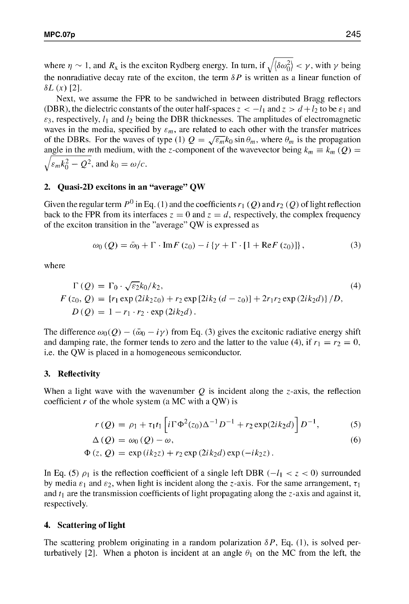where  $\eta \sim 1$ , and  $R_x$  is the exciton Rydberg energy. In turn, if  $\sqrt{\langle \delta \omega_0^2 \rangle} < \gamma$ , with  $\gamma$  being the nonradiative decay rate of the exciton, the term  $\delta P$  is written as a linear function of  $\delta L(x)$  [2].

Next, we assume the FPR to be sandwiched in between distributed Bragg reflectors (DBR), the dielectric constants of the outer half-spaces  $z < -l_1$  and  $z > d + l_2$  to be  $\varepsilon_1$  and  $\epsilon_3$ , respectively,  $l_1$  and  $l_2$  being the DBR thicknesses. The amplitudes of electromagnetic waves in the media, specified by  $\varepsilon_m$ , are related to each other with the transfer matrices of the DBRs. For the waves of type (1)  $Q = \sqrt{\varepsilon_m} k_0 \sin \theta_m$ , where  $\theta_m$  is the propagation angle in the *m*th medium, with the *z*-component of the wavevector being  $k_m \equiv k_m(Q)$  $\sqrt{\varepsilon_m k_0^2 - Q^2}$ , and  $k_0 = \omega/c$ .

#### 2. Quasi-2D excitons in an "average" **QW**

Given the regular term  $P^0$  in Eq. (1) and the coefficients  $r_1(Q)$  and  $r_2(Q)$  of light reflection back to the FPR from its interfaces  $z = 0$  and  $z = d$ , respectively, the complex frequency of the exciton transition in the "average" QW is expressed as

$$
\omega_0(Q) = \bar{\omega}_0 + \Gamma \cdot \text{Im} F(z_0) - i \left\{ \gamma + \Gamma \cdot [1 + \text{Re} F(z_0)] \right\},\tag{3}
$$

where

$$
\Gamma(Q) = \Gamma_0 \cdot \sqrt{\varepsilon_2} k_0 / k_2,
$$
\n(4)  
\n
$$
F(z_0, Q) = \{r_1 \exp(2ik_2z_0) + r_2 \exp[2ik_2(d - z_0)] + 2r_1r_2 \exp(2ik_2d)\} / D,
$$
\n(5)  
\n
$$
D(Q) = 1 - r_1 \cdot r_2 \cdot \exp(2ik_2d).
$$

The difference  $\omega_0(Q) - (\bar{\omega}_0 - i\gamma)$  from Eq. (3) gives the excitonic radiative energy shift and damping rate, the former tends to zero and the latter to the value (4), if  $r_1 = r_2 = 0$ , i.e. the QW is placed in a homogeneous semiconductor.

#### **3.** Reflectivity

When a light wave with the wavenumber  $Q$  is incident along the z-axis, the reflection coefficient r of the whole system (a MC with a QW) is

$$
r(Q) = \rho_1 + \tau_1 t_1 \left[ i \Gamma \Phi^2(z_0) \Delta^{-1} D^{-1} + r_2 \exp(2ik_2 d) \right] D^{-1}, \tag{5}
$$

$$
\Delta(Q) = \omega_0(Q) - \omega,\tag{6}
$$

$$
\Phi(z, Q) = \exp(ik_2z) + r_2 \exp(2ik_2d) \exp(-ik_2z)
$$

In Eq. (5)  $\rho_1$  is the reflection coefficient of a single left DBR ( $-l_1 < z < 0$ ) surrounded by media  $\varepsilon_1$  and  $\varepsilon_2$ , when light is incident along the *z*-axis. For the same arrangement,  $\tau_1$ and  $t<sub>1</sub>$  are the transmission coefficients of light propagating along the z-axis and against it, respectively.

#### 4. Scattering of light

The scattering problem originating in a random polarization  $\delta P$ , Eq. (1), is solved perturbatively [2]. When a photon is incident at an angle  $\theta_1$  on the MC from the left, the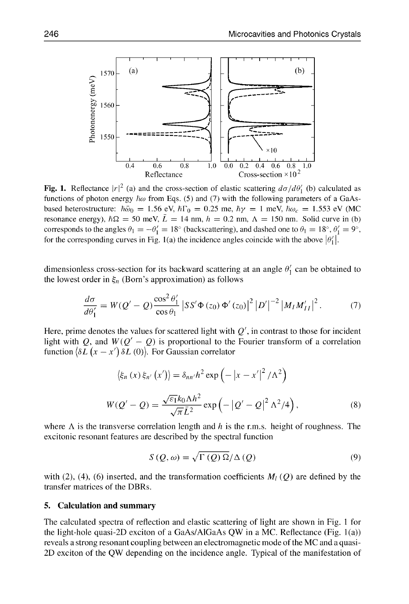

Fig. 1. Reflectance  $|r|^2$  (a) and the cross-section of elastic scattering  $d\sigma/d\theta'_1$  (b) calculated as functions of photon energy  $\hbar\omega$  from Eqs. (5) and (7) with the following parameters of a GaAsbased heterostructure:  $\hbar\bar{\omega}_0 = 1.56$  eV,  $\hbar\Gamma_0 = 0.25$  me,  $\hbar\gamma = 1$  meV,  $\hbar\omega_c = 1.553$  eV (MC resonance energy),  $\hbar\Omega = 50$  meV,  $\bar{L} = 14$  nm,  $h = 0.2$  nm,  $\Lambda = 150$  nm. Solid curve in (b) corresponds to the angles  $\theta_1 = -\theta'_1 = 18^\circ$  (backscattering), and dashed one to  $\theta_1 = 18^\circ$ ,  $\theta'_1 = 9^\circ$ , for the corresponding curves in Fig. 1(a) the incidence angles coincide with the above  $|\theta_1'|$ .

dimensionless cross-section for its backward scattering at an angle  $\theta_1$  can be obtained to the lowest order in  $\xi_n$  (Born's approximation) as follows

$$
\frac{d\sigma}{d\theta_1'} = W(Q' - Q) \frac{\cos^2 \theta_1'}{\cos \theta_1} |SS'\Phi(z_0) \Phi'(z_0)|^2 |D'|^{-2} |M_I M_{II}'|^2. \tag{7}
$$

Here, prime denotes the values for scattered light with  $Q'$ , in contrast to those for incident light with Q, and  $W(Q'-Q)$  is proportional to the Fourier transform of a correlation function  $\langle \delta L (x - x') \delta L (0) \rangle$ . For Gaussian correlator

$$
\langle \xi_n(x)\,\xi_{n'}(x')\rangle = \delta_{nn'}h^2\exp\left(-|x-x'|^2/\Lambda^2\right)
$$

$$
W(Q'-Q) = \frac{\sqrt{\varepsilon_1}k_0\Lambda h^2}{\sqrt{\pi}\bar{L}^2}\exp\left(-|Q'-Q|^2\Lambda^2/4\right),\tag{8}
$$

where  $\Lambda$  is the transverse correlation length and h is the r.m.s. height of roughness. The excitonic resonant features are described by the spectral function

$$
S(Q,\omega) = \sqrt{\Gamma(Q)\Omega}/\Delta(Q)
$$
\n(9)

with (2), (4), (6) inserted, and the transformation coefficients  $M_l(Q)$  are defined by the transfer matrices of the DBRs.

#### **5.** Calculation and summary

The calculated spectra of reflection and elastic scattering of light are shown in Fig. **I** for the light-hole quasi-2D exciton of a GaAs/A1GaAs QW in a MC. Reflectance (Fig. 1 (a)) reveals a strong resonant coupling between an electromagnetic mode of the MC and a quasi-2D exciton of the QW depending on the incidence angle. Typical of the manifestation of